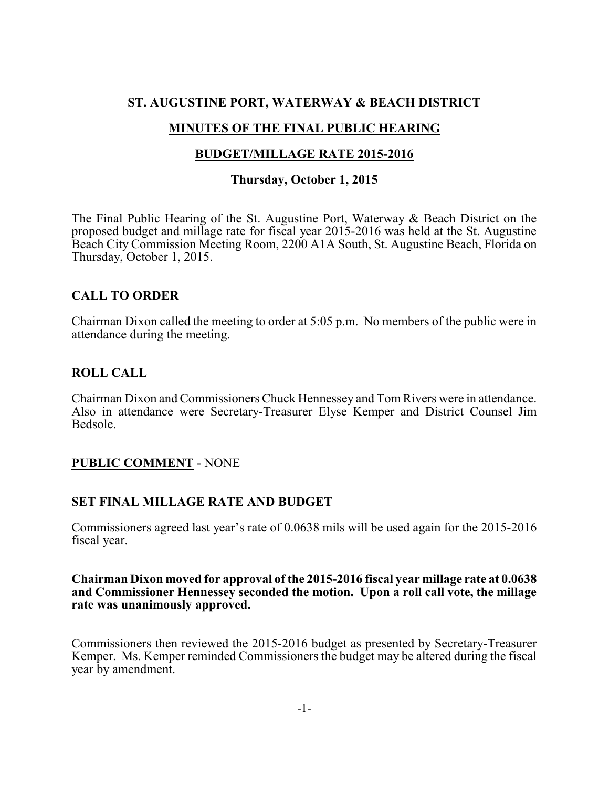# **ST. AUGUSTINE PORT, WATERWAY & BEACH DISTRICT**

# **MINUTES OF THE FINAL PUBLIC HEARING**

## **BUDGET/MILLAGE RATE 2015-2016**

#### **Thursday, October 1, 2015**

The Final Public Hearing of the St. Augustine Port, Waterway & Beach District on the proposed budget and millage rate for fiscal year 2015-2016 was held at the St. Augustine Beach City Commission Meeting Room, 2200 A1A South, St. Augustine Beach, Florida on Thursday, October 1, 2015.

### **CALL TO ORDER**

Chairman Dixon called the meeting to order at 5:05 p.m. No members of the public were in attendance during the meeting.

### **ROLL CALL**

Chairman Dixon and Commissioners Chuck Hennessey and Tom Rivers were in attendance. Also in attendance were Secretary-Treasurer Elyse Kemper and District Counsel Jim Bedsole.

### **PUBLIC COMMENT** - NONE

### **SET FINAL MILLAGE RATE AND BUDGET**

Commissioners agreed last year's rate of 0.0638 mils will be used again for the 2015-2016 fiscal year.

#### **Chairman Dixon moved for approval of the 2015-2016 fiscal year millage rate at 0.0638 and Commissioner Hennessey seconded the motion. Upon a roll call vote, the millage rate was unanimously approved.**

Commissioners then reviewed the 2015-2016 budget as presented by Secretary-Treasurer Kemper. Ms. Kemper reminded Commissioners the budget may be altered during the fiscal year by amendment.